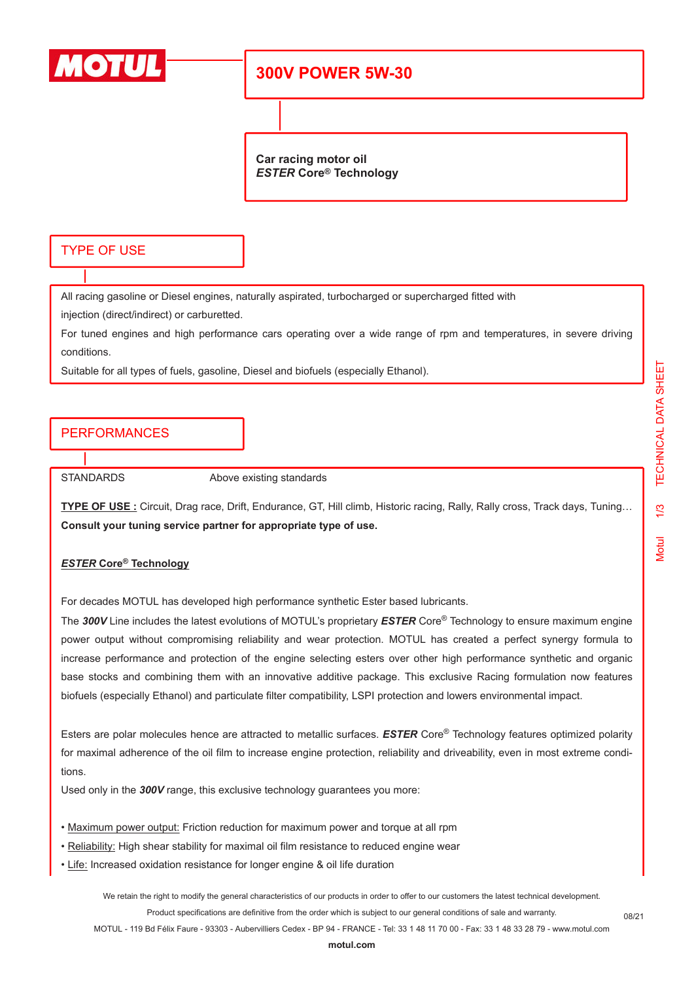

# **300V POWER 5W-30**

**Car racing motor oil** *ESTER* **Core® Technology**

#### TYPE OF USE

All racing gasoline or Diesel engines, naturally aspirated, turbocharged or supercharged fitted with

injection (direct/indirect) or carburetted.

For tuned engines and high performance cars operating over a wide range of rpm and temperatures, in severe driving conditions.

Suitable for all types of fuels, gasoline, Diesel and biofuels (especially Ethanol).

## PERFORMANCES

STANDARDS Above existing standards

**TYPE OF USE :** Circuit, Drag race, Drift, Endurance, GT, Hill climb, Historic racing, Rally, Rally cross, Track days, Tuning… **Consult your tuning service partner for appropriate type of use.**

#### *ESTER* **Core® Technology**

For decades MOTUL has developed high performance synthetic Ester based lubricants.

The *300V* Line includes the latest evolutions of MOTUL's proprietary *ESTER* Core® Technology to ensure maximum engine power output without compromising reliability and wear protection. MOTUL has created a perfect synergy formula to increase performance and protection of the engine selecting esters over other high performance synthetic and organic base stocks and combining them with an innovative additive package. This exclusive Racing formulation now features biofuels (especially Ethanol) and particulate filter compatibility, LSPI protection and lowers environmental impact.

Esters are polar molecules hence are attracted to metallic surfaces. *ESTER* Core® Technology features optimized polarity for maximal adherence of the oil film to increase engine protection, reliability and driveability, even in most extreme conditions.

Used only in the *300V* range, this exclusive technology guarantees you more:

- Maximum power output: Friction reduction for maximum power and torque at all rpm
- Reliability: High shear stability for maximal oil film resistance to reduced engine wear
- Life: Increased oxidation resistance for longer engine & oil life duration

We retain the right to modify the general characteristics of our products in order to offer to our customers the latest technical development.

Product specifications are definitive from the order which is subject to our general conditions of sale and warranty.

MOTUL - 119 Bd Félix Faure - 93303 - Aubervilliers Cedex - BP 94 - FRANCE - Tel: 33 1 48 11 70 00 - Fax: 33 1 48 33 28 79 - www.motul.com

08/21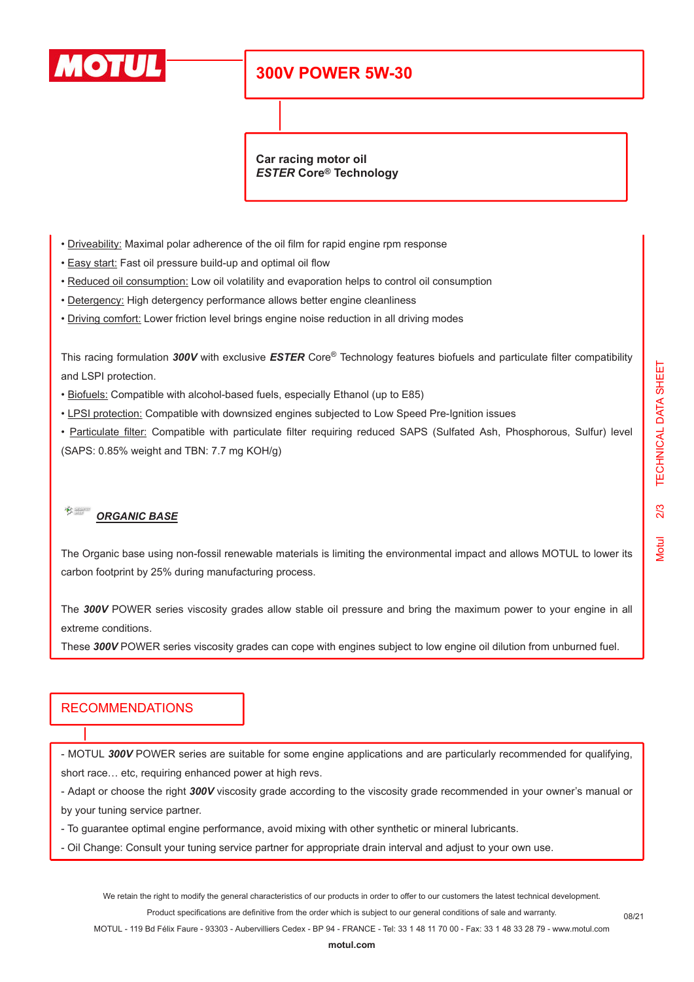

# **300V POWER 5W-30**

**Car racing motor oil** *ESTER* **Core® Technology**

- Driveability: Maximal polar adherence of the oil film for rapid engine rpm response
- Easy start: Fast oil pressure build-up and optimal oil flow
- Reduced oil consumption: Low oil volatility and evaporation helps to control oil consumption
- Detergency: High detergency performance allows better engine cleanliness
- Driving comfort: Lower friction level brings engine noise reduction in all driving modes

This racing formulation *300V* with exclusive *ESTER* Core® Technology features biofuels and particulate filter compatibility and LSPI protection.

- Biofuels: Compatible with alcohol-based fuels, especially Ethanol (up to E85)
- LPSI protection: Compatible with downsized engines subjected to Low Speed Pre-Ignition issues

• Particulate filter: Compatible with particulate filter requiring reduced SAPS (Sulfated Ash, Phosphorous, Sulfur) level (SAPS: 0.85% weight and TBN: 7.7 mg KOH/g)

#### $\frac{1}{\sqrt{2}}$ *ORGANIC BASE*

The Organic base using non-fossil renewable materials is limiting the environmental impact and allows MOTUL to lower its carbon footprint by 25% during manufacturing process.

The *300V* POWER series viscosity grades allow stable oil pressure and bring the maximum power to your engine in all extreme conditions.

These *300V* POWER series viscosity grades can cope with engines subject to low engine oil dilution from unburned fuel.

## RECOMMENDATIONS

- MOTUL *300V* POWER series are suitable for some engine applications and are particularly recommended for qualifying, short race… etc, requiring enhanced power at high revs.

- Adapt or choose the right *300V* viscosity grade according to the viscosity grade recommended in your owner's manual or by your tuning service partner.

- To guarantee optimal engine performance, avoid mixing with other synthetic or mineral lubricants.

- Oil Change: Consult your tuning service partner for appropriate drain interval and adjust to your own use.

We retain the right to modify the general characteristics of our products in order to offer to our customers the latest technical development.

Product specifications are definitive from the order which is subject to our general conditions of sale and warranty.

MOTUL - 119 Bd Félix Faure - 93303 - Aubervilliers Cedex - BP 94 - FRANCE - Tel: 33 1 48 11 70 00 - Fax: 33 1 48 33 28 79 - www.motul.com